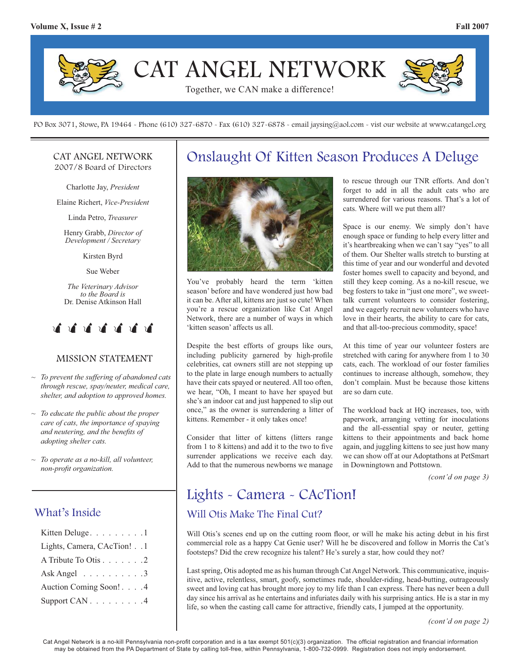

PO Box 3071, Stowe, PA 19464 - Phone (610) 327-6870 - Fax (610) 327-6878 - email jaysing@aol.com - vist our website at www.catangel.org

#### CAT ANGEL NETWORK 2007/8 Board of Directors

Charlotte Jay, *President*

Elaine Richert, *Vice-President*

Linda Petro, *Treasurer*

Henry Grabb, *Director of Development / Secretary*

Kirsten Byrd

Sue Weber

*The Veterinary Advisor to the Board is*  Dr. Denise Atkinson Hall



### MISSION STATEMENT

- *~ To prevent the suffering of abandoned cats through rescue, spay/neuter, medical care, shelter, and adoption to approved homes.*
- *~ To educate the public about the proper care of cats, the importance of spaying and neutering, and the benefits of adopting shelter cats.*
- *~ To operate as a no-kill, all volunteer, non-profi t organization.*

### What's Inside

| Kitten Deluge. 1                   |
|------------------------------------|
| Lights, Camera, CAcTion! 1         |
| A Tribute To Otis 2                |
| Ask Angel $\ldots \ldots \ldots 3$ |
| Auction Coming Soon! 4             |
| Support CAN 4                      |

## Onslaught Of Kitten Season Produces A Deluge



You've probably heard the term 'kitten season' before and have wondered just how bad it can be. After all, kittens are just so cute! When you're a rescue organization like Cat Angel Network, there are a number of ways in which 'kitten season' affects us all.

Despite the best efforts of groups like ours, including publicity garnered by high-profile celebrities, cat owners still are not stepping up to the plate in large enough numbers to actually have their cats spayed or neutered. All too often, we hear, "Oh, I meant to have her spayed but she's an indoor cat and just happened to slip out once," as the owner is surrendering a litter of kittens. Remember - it only takes once!

Consider that litter of kittens (litters range from 1 to 8 kittens) and add it to the two to five surrender applications we receive each day. Add to that the numerous newborns we manage to rescue through our TNR efforts. And don't forget to add in all the adult cats who are surrendered for various reasons. That's a lot of cats. Where will we put them all?

Space is our enemy. We simply don't have enough space or funding to help every litter and it's heartbreaking when we can't say "yes" to all of them. Our Shelter walls stretch to bursting at this time of year and our wonderful and devoted foster homes swell to capacity and beyond, and still they keep coming. As a no-kill rescue, we beg fosters to take in "just one more", we sweettalk current volunteers to consider fostering, and we eagerly recruit new volunteers who have love in their hearts, the ability to care for cats, and that all-too-precious commodity, space!

At this time of year our volunteer fosters are stretched with caring for anywhere from 1 to 30 cats, each. The workload of our foster families continues to increase although, somehow, they don't complain. Must be because those kittens are so darn cute.

The workload back at HQ increases, too, with paperwork, arranging vetting for inoculations and the all-essential spay or neuter, getting kittens to their appointments and back home again, and juggling kittens to see just how many we can show off at our Adoptathons at PetSmart in Downingtown and Pottstown.

*(cont'd on page 3)*

## Lights - Camera - CAcTion!

### Will Otis Make The Final Cut?

Will Otis's scenes end up on the cutting room floor, or will he make his acting debut in his first commercial role as a happy Cat Genie user? Will he be discovered and follow in Morris the Cat's footsteps? Did the crew recognize his talent? He's surely a star, how could they not?

Last spring, Otis adopted me as his human through Cat Angel Network. This communicative, inquisitive, active, relentless, smart, goofy, sometimes rude, shoulder-riding, head-butting, outrageously sweet and loving cat has brought more joy to my life than I can express. There has never been a dull day since his arrival as he entertains and infuriates daily with his surprising antics. He is a star in my life, so when the casting call came for attractive, friendly cats, I jumped at the opportunity.

*<sup>(</sup>cont'd on page 2)*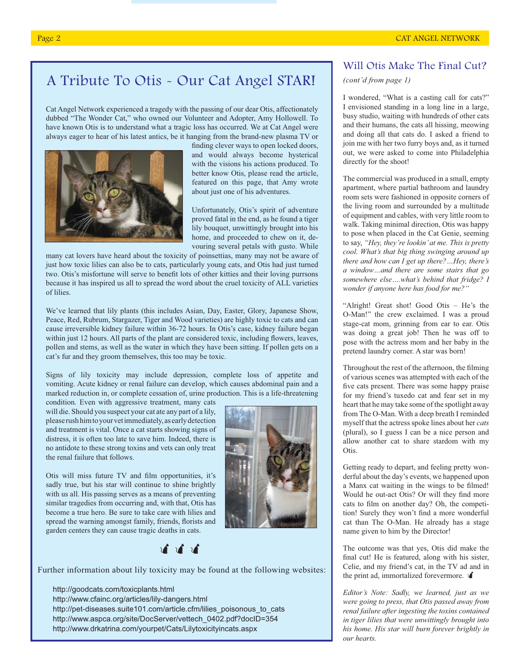## A Tribute To Otis - Our Cat Angel STAR!

Cat Angel Network experienced a tragedy with the passing of our dear Otis, affectionately dubbed "The Wonder Cat," who owned our Volunteer and Adopter, Amy Hollowell. To have known Otis is to understand what a tragic loss has occurred. We at Cat Angel were always eager to hear of his latest antics, be it hanging from the brand-new plasma TV or



finding clever ways to open locked doors, and would always become hysterical with the visions his actions produced. To better know Otis, please read the article, featured on this page, that Amy wrote about just one of his adventures.

Unfortunately, Otis's spirit of adventure proved fatal in the end, as he found a tiger lily bouquet, unwittingly brought into his home, and proceeded to chew on it, devouring several petals with gusto. While

many cat lovers have heard about the toxicity of poinsettias, many may not be aware of just how toxic lilies can also be to cats, particularly young cats, and Otis had just turned two. Otis's misfortune will serve to benefit lots of other kitties and their loving purrsons because it has inspired us all to spread the word about the cruel toxicity of ALL varieties of lilies.

We've learned that lily plants (this includes Asian, Day, Easter, Glory, Japanese Show, Peace, Red, Rubrum, Stargazer, Tiger and Wood varieties) are highly toxic to cats and can cause irreversible kidney failure within 36-72 hours. In Otis's case, kidney failure began within just 12 hours. All parts of the plant are considered toxic, including flowers, leaves, pollen and stems, as well as the water in which they have been sitting. If pollen gets on a cat's fur and they groom themselves, this too may be toxic.

Signs of lily toxicity may include depression, complete loss of appetite and vomiting. Acute kidney or renal failure can develop, which causes abdominal pain and a marked reduction in, or complete cessation of, urine production. This is a life-threatening

condition. Even with aggressive treatment, many cats will die. Should you suspect your cat ate any part of a lily, please rush him to your vet immediately, as early detection and treatment is vital. Once a cat starts showing signs of distress, it is often too late to save him. Indeed, there is no antidote to these strong toxins and vets can only treat the renal failure that follows.

Otis will miss future TV and film opportunities, it's sadly true, but his star will continue to shine brightly with us all. His passing serves as a means of preventing similar tragedies from occurring and, with that, Otis has become a true hero. Be sure to take care with lilies and spread the warning amongst family, friends, florists and garden centers they can cause tragic deaths in cats.





Further information about lily toxicity may be found at the following websites:

 http://goodcats.com/toxicplants.html http://www.cfainc.org/articles/lily-dangers.html http://pet-diseases.suite101.com/article.cfm/lilies\_poisonous\_to\_cats http://www.aspca.org/site/DocServer/vettech\_0402.pdf?docID=354 http://www.drkatrina.com/yourpet/Cats/Lilytoxicityincats.aspx

### Will Otis Make The Final Cut?

### *(cont'd from page 1)*

I wondered, "What is a casting call for cats?" I envisioned standing in a long line in a large, busy studio, waiting with hundreds of other cats and their humans, the cats all hissing, meowing and doing all that cats do. I asked a friend to join me with her two furry boys and, as it turned out, we were asked to come into Philadelphia directly for the shoot!

The commercial was produced in a small, empty apartment, where partial bathroom and laundry room sets were fashioned in opposite corners of the living room and surrounded by a multitude of equipment and cables, with very little room to walk. Taking minimal direction, Otis was happy to pose when placed in the Cat Genie, seeming to say, *"Hey, they're lookin' at me. This is pretty cool. What's that big thing swinging around up there and how can I get up there?…Hey, there's a window…and there are some stairs that go somewhere else….what's behind that fridge? I wonder if anyone here has food for me?"*

"Alright! Great shot! Good Otis – He's the O-Man!" the crew exclaimed. I was a proud stage-cat mom, grinning from ear to ear. Otis was doing a great job! Then he was off to pose with the actress mom and her baby in the pretend laundry corner. A star was born!

Throughout the rest of the afternoon, the filming of various scenes was attempted with each of the five cats present. There was some happy praise for my friend's tuxedo cat and fear set in my heart that he may take some of the spotlight away from The O-Man. With a deep breath I reminded myself that the actress spoke lines about her *cats*  (plural), so I guess I can be a nice person and allow another cat to share stardom with my Otis.

Getting ready to depart, and feeling pretty wonderful about the day's events, we happened upon a Manx cat waiting in the wings to be filmed! Would he out-act Otis? Or will they find more cats to film on another day? Oh, the competition! Surely they won't find a more wonderful cat than The O-Man. He already has a stage name given to him by the Director!

The outcome was that yes, Otis did make the final cut! He is featured, along with his sister, Celie, and my friend's cat, in the TV ad and in the print ad, immortalized forevermore.

*Editor's Note: Sadly, we learned, just as we were going to press, that Otis passed away from renal failure after ingesting the toxins contained in tiger lilies that were unwittingly brought into his home. His star will burn forever brightly in our hearts.*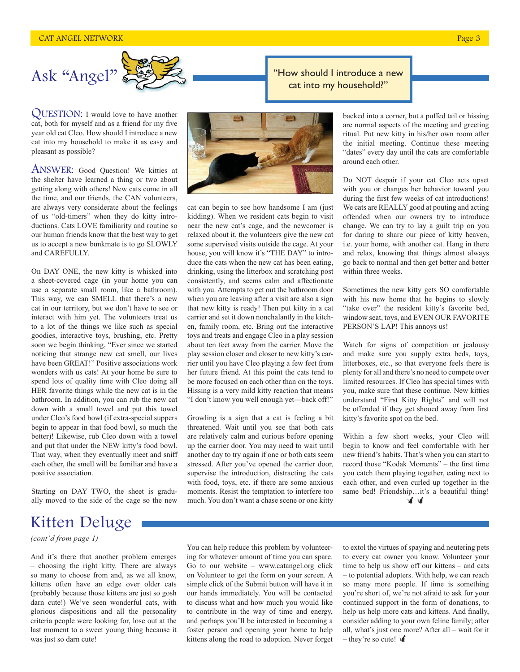

QUESTION: I would love to have another cat, both for myself and as a friend for my five year old cat Cleo. How should I introduce a new cat into my household to make it as easy and pleasant as possible?

ANSWER: Good Question! We kitties at the shelter have learned a thing or two about getting along with others! New cats come in all the time, and our friends, the CAN volunteers, are always very considerate about the feelings of us "old-timers" when they do kitty introductions. Cats LOVE familiarity and routine so our human friends know that the best way to get us to accept a new bunkmate is to go SLOWLY and CAREFULLY.

On DAY ONE, the new kitty is whisked into a sheet-covered cage (in your home you can use a separate small room, like a bathroom). This way, we can SMELL that there's a new cat in our territory, but we don't have to see or interact with him yet. The volunteers treat us to a lot of the things we like such as special goodies, interactive toys, brushing, etc. Pretty soon we begin thinking, "Ever since we started noticing that strange new cat smell, our lives have been GREAT!" Positive associations work wonders with us cats! At your home be sure to spend lots of quality time with Cleo doing all HER favorite things while the new cat is in the bathroom. In addition, you can rub the new cat down with a small towel and put this towel under Cleo's food bowl (if extra-special suppers begin to appear in that food bowl, so much the better)! Likewise, rub Cleo down with a towel and put that under the NEW kitty's food bowl. That way, when they eventually meet and sniff each other, the smell will be familiar and have a positive association.

Starting on DAY TWO, the sheet is gradually moved to the side of the cage so the new

# Kitten Deluge

*(cont'd from page 1)*

And it's there that another problem emerges – choosing the right kitty. There are always so many to choose from and, as we all know, kittens often have an edge over older cats (probably because those kittens are just so gosh darn cute!) We've seen wonderful cats, with glorious dispositions and all the personality criteria people were looking for, lose out at the last moment to a sweet young thing because it was just so darn cute!



cat can begin to see how handsome I am (just kidding). When we resident cats begin to visit near the new cat's cage, and the newcomer is relaxed about it, the volunteers give the new cat some supervised visits outside the cage. At your house, you will know it's "THE DAY" to introduce the cats when the new cat has been eating, drinking, using the litterbox and scratching post consistently, and seems calm and affectionate with you. Attempts to get out the bathroom door when you are leaving after a visit are also a sign that new kitty is ready! Then put kitty in a cat carrier and set it down nonchalantly in the kitchen, family room, etc. Bring out the interactive toys and treats and engage Cleo in a play session about ten feet away from the carrier. Move the play session closer and closer to new kitty's carrier until you have Cleo playing a few feet from her future friend. At this point the cats tend to be more focused on each other than on the toys. Hissing is a very mild kitty reaction that means "I don't know you well enough yet—back off!"

Growling is a sign that a cat is feeling a bit threatened. Wait until you see that both cats are relatively calm and curious before opening up the carrier door. You may need to wait until another day to try again if one or both cats seem stressed. After you've opened the carrier door, supervise the introduction, distracting the cats with food, toys, etc. if there are some anxious moments. Resist the temptation to interfere too much. You don't want a chase scene or one kitty

"How should I introduce a new

backed into a corner, but a puffed tail or hissing are normal aspects of the meeting and greeting ritual. Put new kitty in his/her own room after the initial meeting. Continue these meeting "dates" every day until the cats are comfortable around each other.

Do NOT despair if your cat Cleo acts upset with you or changes her behavior toward you during the first few weeks of cat introductions! We cats are REALLY good at pouting and acting offended when our owners try to introduce change. We can try to lay a guilt trip on you for daring to share our piece of kitty heaven, i.e. your home, with another cat. Hang in there and relax, knowing that things almost always go back to normal and then get better and better within three weeks.

Sometimes the new kitty gets SO comfortable with his new home that he begins to slowly "take over" the resident kitty's favorite bed, window seat, toys, and EVEN OUR FAVORITE PERSON'S LAP! This annoys us!

Watch for signs of competition or jealousy and make sure you supply extra beds, toys, litterboxes, etc., so that everyone feels there is plenty for all and there's no need to compete over limited resources. If Cleo has special times with you, make sure that these continue. New kitties understand "First Kitty Rights" and will not be offended if they get shooed away from first kitty's favorite spot on the bed.

Within a few short weeks, your Cleo will begin to know and feel comfortable with her new friend's habits. That's when you can start to record those "Kodak Moments" – the first time you catch them playing together, eating next to each other, and even curled up together in the same bed! Friendship...it's a beautiful thing! 首首

You can help reduce this problem by volunteering for whatever amount of time you can spare. Go to our website – www.catangel.org click on Volunteer to get the form on your screen. A simple click of the Submit button will have it in our hands immediately. You will be contacted to discuss what and how much you would like to contribute in the way of time and energy, and perhaps you'll be interested in becoming a foster person and opening your home to help kittens along the road to adoption. Never forget to extol the virtues of spaying and neutering pets to every cat owner you know. Volunteer your time to help us show off our kittens – and cats – to potential adopters. With help, we can reach so many more people. If time is something you're short of, we're not afraid to ask for your continued support in the form of donations, to help us help more cats and kittens. And finally, consider adding to your own feline family; after all, what's just one more? After all – wait for it – they're so cute!  $\mathbf{\hat{A}}$